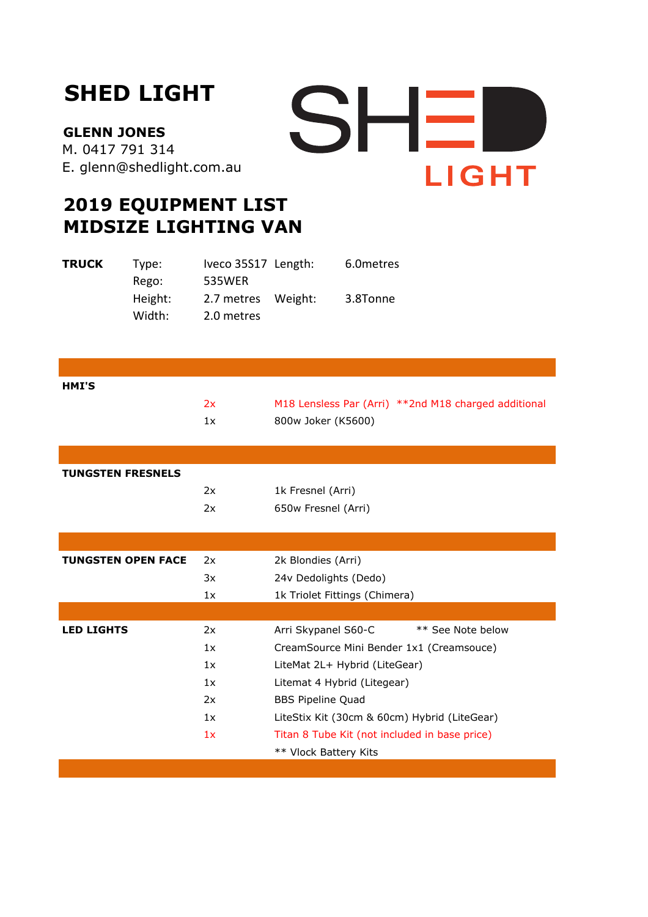## **SHED LIGHT**

**GLENN JONES**  M. 0417 791 314 E. glenn@shedlight.com.au



## **2019 EQUIPMENT LIST MIDSIZE LIGHTING VAN**

| <b>TRUCK</b> | Type:   | Iveco 35S17 Length: | 6.0 metres |
|--------------|---------|---------------------|------------|
|              | Rego:   | 535WER              |            |
|              | Height: | 2.7 metres Weight:  | 3.8Tonne   |
|              | Width:  | 2.0 metres          |            |

| HMI'S                     |                          |                                                      |  |
|---------------------------|--------------------------|------------------------------------------------------|--|
|                           | 2x                       | M18 Lensless Par (Arri) **2nd M18 charged additional |  |
|                           | 1x                       | 800w Joker (K5600)                                   |  |
|                           |                          |                                                      |  |
|                           |                          |                                                      |  |
| <b>TUNGSTEN FRESNELS</b>  |                          |                                                      |  |
|                           | 2x                       | 1k Fresnel (Arri)                                    |  |
|                           | 2x                       | 650w Fresnel (Arri)                                  |  |
|                           |                          |                                                      |  |
|                           |                          |                                                      |  |
| <b>TUNGSTEN OPEN FACE</b> | 2k Blondies (Arri)<br>2x |                                                      |  |
|                           | 3x                       | 24v Dedolights (Dedo)                                |  |
|                           | 1x                       | 1k Triolet Fittings (Chimera)                        |  |
|                           |                          |                                                      |  |
| <b>LED LIGHTS</b>         | 2x                       | ** See Note below<br>Arri Skypanel S60-C             |  |
|                           | 1x                       | CreamSource Mini Bender 1x1 (Creamsouce)             |  |
|                           | 1x                       | LiteMat 2L+ Hybrid (LiteGear)                        |  |
|                           | 1x                       | Litemat 4 Hybrid (Litegear)                          |  |
|                           | 2x                       | <b>BBS Pipeline Quad</b>                             |  |
|                           | 1x                       | LiteStix Kit (30cm & 60cm) Hybrid (LiteGear)         |  |
|                           | 1x                       | Titan 8 Tube Kit (not included in base price)        |  |
|                           |                          | ** Vlock Battery Kits                                |  |
|                           |                          |                                                      |  |